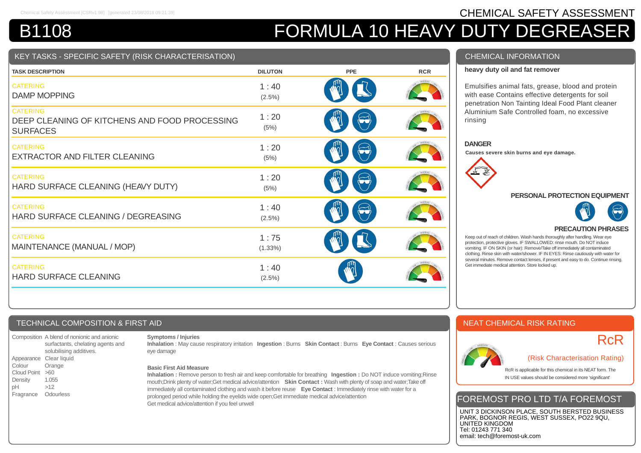# Chemical Safety Assessment [CSRv1.98] [generated 23/08/2018 09:21:39] **CHEMICAL SAFETY ASSESSMENT** B1108 **FORMULA 10 HEAVY DUTY DEGREASER**

# TASKS - SPECIFIC SAFETY (RISK CHARACTERISATION

| <b>TASK DESCRIPTION</b>                                                             | <b>DILUTON</b>    | PPE                                                    | <b>RCR</b> |
|-------------------------------------------------------------------------------------|-------------------|--------------------------------------------------------|------------|
| <b>CATERING</b><br><b>DAMP MOPPING</b>                                              | 1:40<br>$(2.5\%)$ |                                                        |            |
| <b>CATERING</b><br>DEEP CLEANING OF KITCHENS AND FOOD PROCESSING<br><b>SURFACES</b> | 1:20<br>(5%)      |                                                        |            |
| <b>CATERING</b><br><b>EXTRACTOR AND FILTER CLEANING</b>                             | 1:20<br>(5%)      |                                                        |            |
| <b>CATERING</b><br>HARD SURFACE CLEANING (HEAVY DUTY)                               | 1:20<br>(5%)      | $\left(\begin{matrix} \sim\\ \sim \end{matrix}\right)$ |            |
| <b>CATERING</b><br>HARD SURFACE CLEANING / DEGREASING                               | 1:40<br>$(2.5\%)$ |                                                        |            |
| <b>CATERING</b><br>MAINTENANCE (MANUAL / MOP)                                       | 1:75<br>(1.33%)   |                                                        |            |
| <b>CATERING</b><br><b>HARD SURFACE CLEANING</b>                                     | 1:40<br>$(2.5\%)$ |                                                        |            |

# CHEMICAL INFORMATION

## **heavy duty oil and fat remover**

Emulsifies animal fats, grease, blood and protein with ease Contains effective detergents for soil penetration Non Tainting Ideal Food Plant cleaner Aluminium Safe Controlled foam, no excessive rinsing

#### **DANGER**

**Causes severe skin burns and eye damage.**



### **PERSONAL PROTECTION EQUIPMENT**



# **PRECAUTION PHRASES**

Keep out of reach of children. Wash hands thoroughly after handling. Wear eye protection, protective gloves. IF SWALLOWED: rinse mouth. Do NOT induce vomiting. IF ON SKIN (or hair): Remove/Take off immediately all contaminated clothing. Rinse skin with water/shower. IF IN EYES: Rinse cautiously with water for several minutes. Remove contact lenses, if present and easy to do. Continue rinsing. Get immediate medical attention. Store locked up.

# TECHNICAL COMPOSITION & FIRST AID

Composition A blend of nonionic and anionic surfactants, chelating agents and solubilising additives. Appearance Clear liquid Colour Orange Cloud Point >60 Density 1.055 pH >12 Fragrance Odourless

### **Symptoms / Injuries**

**Inhalation** : May cause respiratory irritation **Ingestion** : Burns **Skin Contact** : Burns **Eye Contact** : Causes serious eye damage

#### **Basic First Aid Measure**

**Inhalation :** Remove person to fresh air and keep comfortable for breathing **Ingestion :** Do NOT induce vomiting;Rinse mouth;Drink plenty of water;Get medical advice/attention **Skin Contact :** Wash with plenty of soap and water;Take off immediately all contaminated clothing and wash it before reuse **Eye Contact** : Immediately rinse with water for a prolonged period while holding the eyelids wide open;Get immediate medical advice/attention Get medical advice/attention if you feel unwell

# NEAT CHEMICAL RISK RATING



# **RcR**

(Risk Characterisation Rating)

RcR is applicable for this chemical in its NEAT form. The IN USE values should be considered more 'significant'

# FOREMOST PRO LTD T/A FOREMOST

UNIT 3 DICKINSON PLACE, SOUTH BERSTED BUSINESS PARK, BOGNOR REGIS, WEST SUSSEX, PO22 9QU, UNITED KINGDOM Tel: 01243 771 340 email: tech@foremost-uk.com